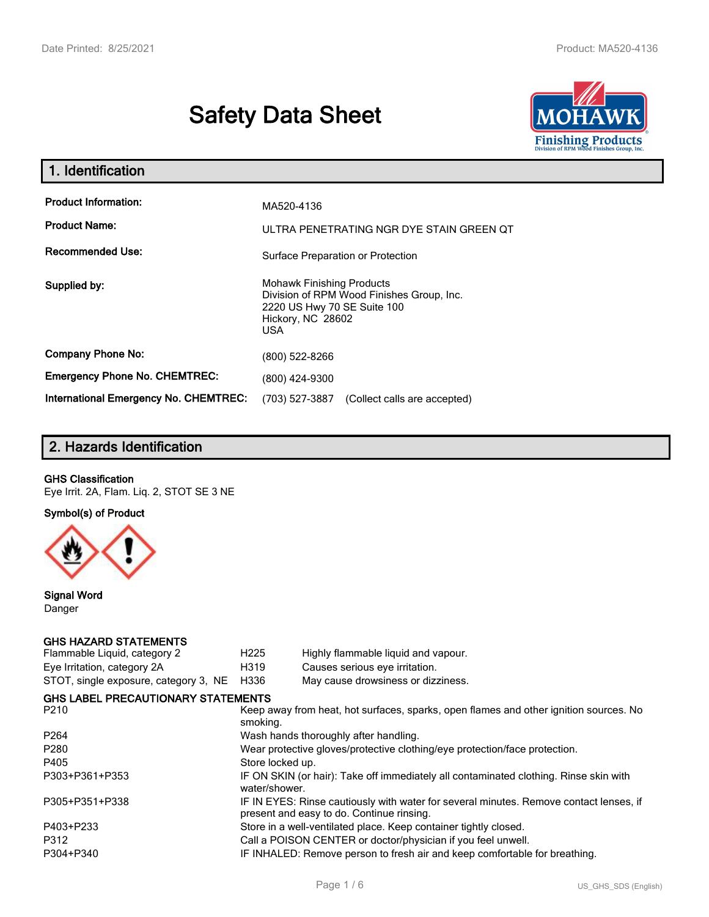# **Safety Data Sheet**



| 1. Identification                                   |                                                                                                                                          |
|-----------------------------------------------------|------------------------------------------------------------------------------------------------------------------------------------------|
| <b>Product Information:</b><br><b>Product Name:</b> | MA520-4136<br>ULTRA PENETRATING NGR DYE STAIN GREEN QT                                                                                   |
| <b>Recommended Use:</b>                             | Surface Preparation or Protection                                                                                                        |
| Supplied by:                                        | <b>Mohawk Finishing Products</b><br>Division of RPM Wood Finishes Group, Inc.<br>2220 US Hwy 70 SE Suite 100<br>Hickory, NC 28602<br>USA |
| <b>Company Phone No:</b>                            | (800) 522-8266                                                                                                                           |
| <b>Emergency Phone No. CHEMTREC:</b>                | (800) 424-9300                                                                                                                           |
| <b>International Emergency No. CHEMTREC:</b>        | (703) 527-3887<br>(Collect calls are accepted)                                                                                           |

# **2. Hazards Identification**

#### **GHS Classification**

Eye Irrit. 2A, Flam. Liq. 2, STOT SE 3 NE

**Symbol(s) of Product**



**Signal Word** Danger

#### **GHS HAZARD STATEMENTS**

| H <sub>225</sub>                                                           | Highly flammable liquid and vapour.                                                                                                 |  |  |
|----------------------------------------------------------------------------|-------------------------------------------------------------------------------------------------------------------------------------|--|--|
| H319                                                                       | Causes serious eye irritation.                                                                                                      |  |  |
| H336                                                                       | May cause drowsiness or dizziness.                                                                                                  |  |  |
|                                                                            |                                                                                                                                     |  |  |
| smoking.                                                                   | Keep away from heat, hot surfaces, sparks, open flames and other ignition sources. No                                               |  |  |
|                                                                            | Wash hands thoroughly after handling.                                                                                               |  |  |
| Wear protective gloves/protective clothing/eye protection/face protection. |                                                                                                                                     |  |  |
| Store locked up.                                                           |                                                                                                                                     |  |  |
| water/shower.                                                              | IF ON SKIN (or hair): Take off immediately all contaminated clothing. Rinse skin with                                               |  |  |
|                                                                            | IF IN EYES: Rinse cautiously with water for several minutes. Remove contact lenses, if<br>present and easy to do. Continue rinsing. |  |  |
|                                                                            | Store in a well-ventilated place. Keep container tightly closed.                                                                    |  |  |
|                                                                            | Call a POISON CENTER or doctor/physician if you feel unwell.                                                                        |  |  |
|                                                                            | IF INHALED: Remove person to fresh air and keep comfortable for breathing.                                                          |  |  |
|                                                                            | <b>GHS LABEL PRECAUTIONARY STATEMENTS</b>                                                                                           |  |  |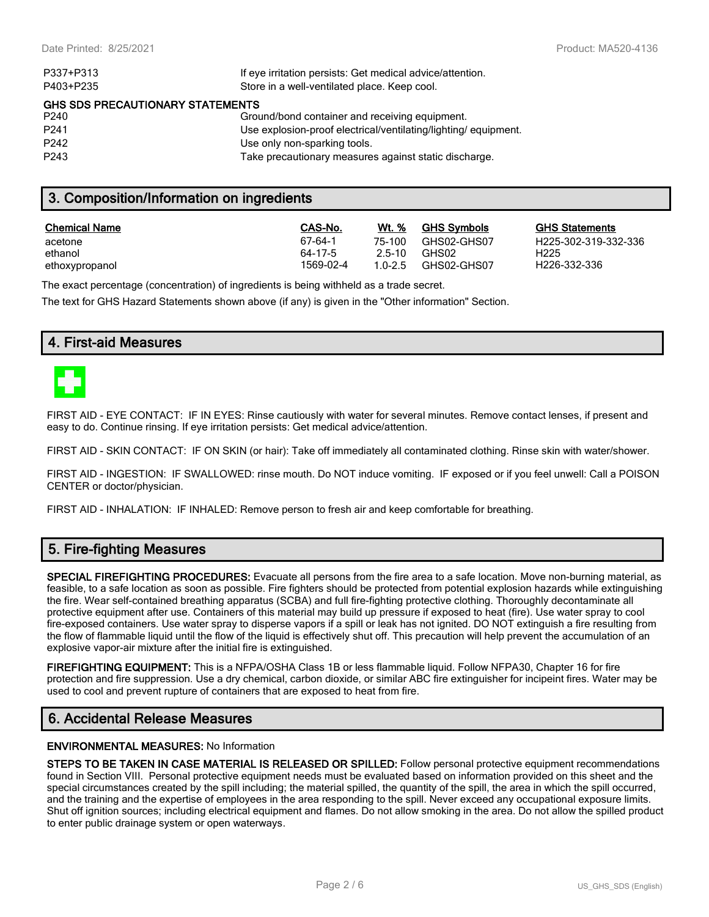| If eye irritation persists: Get medical advice/attention.      |  |  |  |  |
|----------------------------------------------------------------|--|--|--|--|
| Store in a well-ventilated place. Keep cool.                   |  |  |  |  |
| <b>GHS SDS PRECAUTIONARY STATEMENTS</b>                        |  |  |  |  |
| Ground/bond container and receiving equipment.                 |  |  |  |  |
| Use explosion-proof electrical/ventilating/lighting/equipment. |  |  |  |  |
| Use only non-sparking tools.                                   |  |  |  |  |
| Take precautionary measures against static discharge.          |  |  |  |  |
|                                                                |  |  |  |  |

## **3. Composition/Information on ingredients**

| <b>Chemical Name</b> | CAS-No.   | Wt. %  | <b>GHS Symbols</b> | GHS  |
|----------------------|-----------|--------|--------------------|------|
| acetone              | 67-64-1   | 75-100 | GHS02-GHS07        | H225 |
| ethanol              | 64-17-5   | 2.5-10 | GHS02              | H225 |
| ethoxypropanol       | 1569-02-4 | 10-25  | GHS02-GHS07        | H226 |

**GHS Statements** H225-302-319-332-336 H226-332-336

The exact percentage (concentration) of ingredients is being withheld as a trade secret.

The text for GHS Hazard Statements shown above (if any) is given in the "Other information" Section.

## **4. First-aid Measures**



FIRST AID - EYE CONTACT: IF IN EYES: Rinse cautiously with water for several minutes. Remove contact lenses, if present and easy to do. Continue rinsing. If eye irritation persists: Get medical advice/attention.

FIRST AID - SKIN CONTACT: IF ON SKIN (or hair): Take off immediately all contaminated clothing. Rinse skin with water/shower.

FIRST AID - INGESTION: IF SWALLOWED: rinse mouth. Do NOT induce vomiting. IF exposed or if you feel unwell: Call a POISON CENTER or doctor/physician.

FIRST AID - INHALATION: IF INHALED: Remove person to fresh air and keep comfortable for breathing.

# **5. Fire-fighting Measures**

**SPECIAL FIREFIGHTING PROCEDURES:** Evacuate all persons from the fire area to a safe location. Move non-burning material, as feasible, to a safe location as soon as possible. Fire fighters should be protected from potential explosion hazards while extinguishing the fire. Wear self-contained breathing apparatus (SCBA) and full fire-fighting protective clothing. Thoroughly decontaminate all protective equipment after use. Containers of this material may build up pressure if exposed to heat (fire). Use water spray to cool fire-exposed containers. Use water spray to disperse vapors if a spill or leak has not ignited. DO NOT extinguish a fire resulting from the flow of flammable liquid until the flow of the liquid is effectively shut off. This precaution will help prevent the accumulation of an explosive vapor-air mixture after the initial fire is extinguished.

**FIREFIGHTING EQUIPMENT:** This is a NFPA/OSHA Class 1B or less flammable liquid. Follow NFPA30, Chapter 16 for fire protection and fire suppression. Use a dry chemical, carbon dioxide, or similar ABC fire extinguisher for incipeint fires. Water may be used to cool and prevent rupture of containers that are exposed to heat from fire.

# **6. Accidental Release Measures**

#### **ENVIRONMENTAL MEASURES:** No Information

**STEPS TO BE TAKEN IN CASE MATERIAL IS RELEASED OR SPILLED:** Follow personal protective equipment recommendations found in Section VIII. Personal protective equipment needs must be evaluated based on information provided on this sheet and the special circumstances created by the spill including; the material spilled, the quantity of the spill, the area in which the spill occurred, and the training and the expertise of employees in the area responding to the spill. Never exceed any occupational exposure limits. Shut off ignition sources; including electrical equipment and flames. Do not allow smoking in the area. Do not allow the spilled product to enter public drainage system or open waterways.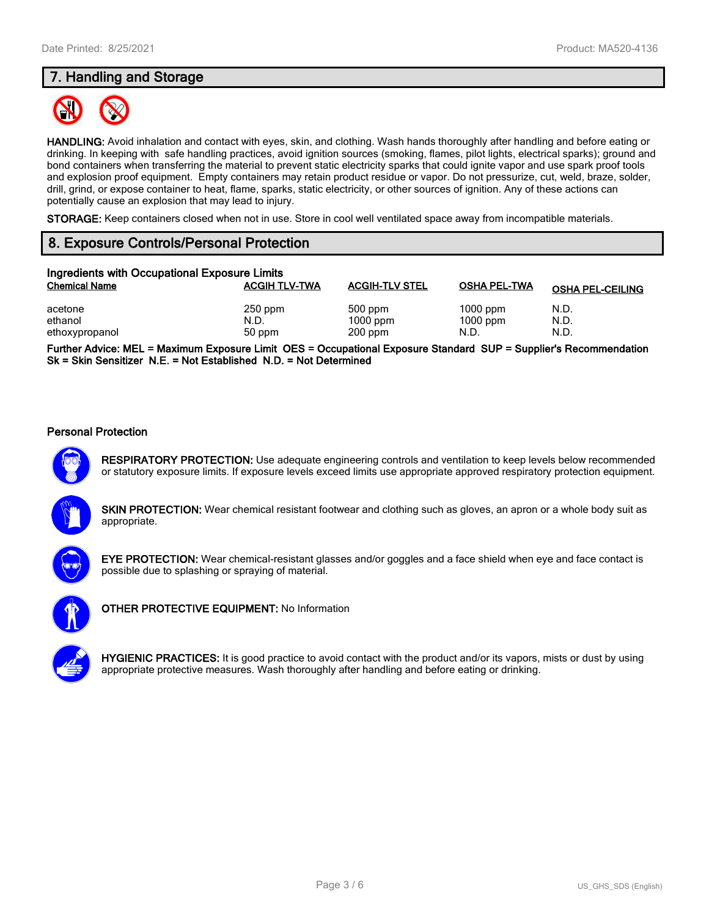# **7. Handling and Storage**



**HANDLING:** Avoid inhalation and contact with eyes, skin, and clothing. Wash hands thoroughly after handling and before eating or drinking. In keeping with safe handling practices, avoid ignition sources (smoking, flames, pilot lights, electrical sparks); ground and bond containers when transferring the material to prevent static electricity sparks that could ignite vapor and use spark proof tools and explosion proof equipment. Empty containers may retain product residue or vapor. Do not pressurize, cut, weld, braze, solder, drill, grind, or expose container to heat, flame, sparks, static electricity, or other sources of ignition. Any of these actions can potentially cause an explosion that may lead to injury.

**STORAGE:** Keep containers closed when not in use. Store in cool well ventilated space away from incompatible materials.

# **8. Exposure Controls/Personal Protection**

| Ingredients with Occupational Exposure Limits |                             |                                    |                                  |                         |  |
|-----------------------------------------------|-----------------------------|------------------------------------|----------------------------------|-------------------------|--|
| <b>Chemical Name</b>                          | <b>ACGIH TLV-TWA</b>        | <b>ACGIH-TLV STEL</b>              | <b>OSHA PEL-TWA</b>              | <b>OSHA PEL-CEILING</b> |  |
| acetone<br>ethanol<br>ethoxypropanol          | $250$ ppm<br>N.D.<br>50 ppm | 500 ppm<br>$1000$ ppm<br>$200$ ppm | $1000$ ppm<br>$1000$ ppm<br>N.D. | N.D.<br>N.D.<br>N.D.    |  |

**Further Advice: MEL = Maximum Exposure Limit OES = Occupational Exposure Standard SUP = Supplier's Recommendation Sk = Skin Sensitizer N.E. = Not Established N.D. = Not Determined**

#### **Personal Protection**



**RESPIRATORY PROTECTION:** Use adequate engineering controls and ventilation to keep levels below recommended or statutory exposure limits. If exposure levels exceed limits use appropriate approved respiratory protection equipment.





**EYE PROTECTION:** Wear chemical-resistant glasses and/or goggles and a face shield when eye and face contact is possible due to splashing or spraying of material.



**OTHER PROTECTIVE EQUIPMENT:** No Information

**HYGIENIC PRACTICES:** It is good practice to avoid contact with the product and/or its vapors, mists or dust by using appropriate protective measures. Wash thoroughly after handling and before eating or drinking.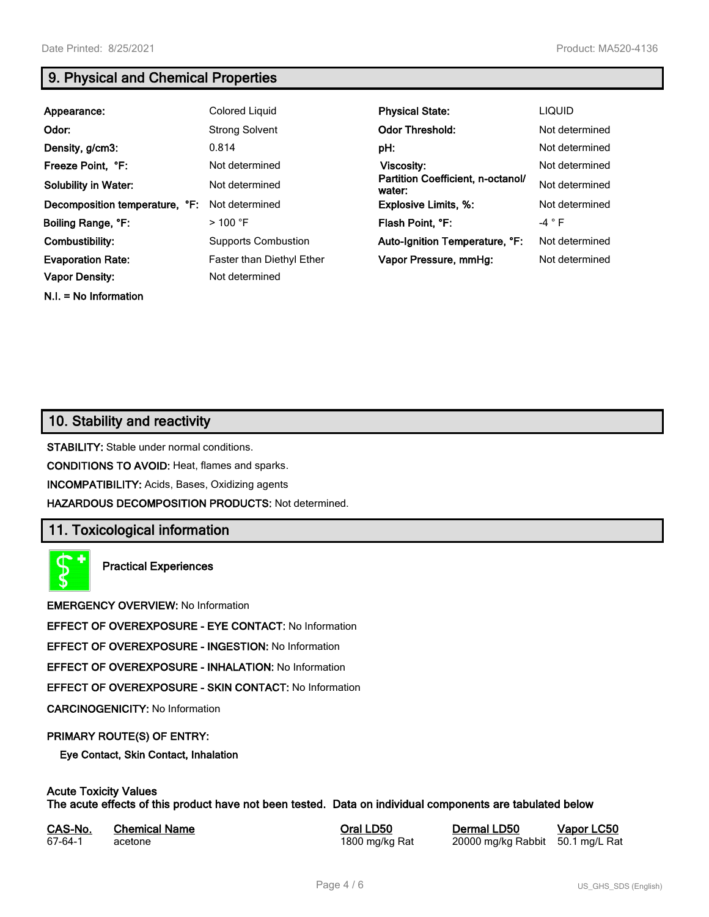**N.I. = No Information**

# **9. Physical and Chemical Properties**

| Appearance:                    | Colored Liquid             | <b>Physical State:</b>                      | <b>LIQUID</b>  |
|--------------------------------|----------------------------|---------------------------------------------|----------------|
| Odor:                          | <b>Strong Solvent</b>      | <b>Odor Threshold:</b>                      | Not determined |
| Density, g/cm3:                | 0.814                      | pH:                                         | Not determined |
| Freeze Point, °F:              | Not determined             | <b>Viscosity:</b>                           | Not determined |
| <b>Solubility in Water:</b>    | Not determined             | Partition Coefficient, n-octanol/<br>water: | Not determined |
| Decomposition temperature, °F: | Not determined             | <b>Explosive Limits, %:</b>                 | Not determined |
| Boiling Range, °F:             | $>100$ °F                  | Flash Point, °F:                            | $-4 ° F$       |
| Combustibility:                | <b>Supports Combustion</b> | Auto-Ignition Temperature, °F:              | Not determined |
| <b>Evaporation Rate:</b>       | Faster than Diethyl Ether  | Vapor Pressure, mmHg:                       | Not determined |
| <b>Vapor Density:</b>          | Not determined             |                                             |                |

# **10. Stability and reactivity**

**STABILITY:** Stable under normal conditions.

**CONDITIONS TO AVOID:** Heat, flames and sparks.

**INCOMPATIBILITY:** Acids, Bases, Oxidizing agents

**HAZARDOUS DECOMPOSITION PRODUCTS:** Not determined.

## **11. Toxicological information**

**Practical Experiences**

**EMERGENCY OVERVIEW:** No Information

**EFFECT OF OVEREXPOSURE - EYE CONTACT:** No Information

**EFFECT OF OVEREXPOSURE - INGESTION:** No Information

**EFFECT OF OVEREXPOSURE - INHALATION:** No Information

**EFFECT OF OVEREXPOSURE - SKIN CONTACT:** No Information

**CARCINOGENICITY:** No Information

#### **PRIMARY ROUTE(S) OF ENTRY:**

**Eye Contact, Skin Contact, Inhalation**

# **Acute Toxicity Values**

**The acute effects of this product have not been tested. Data on individual components are tabulated below**

| CAS-No. | <b>Chemical Name</b> |
|---------|----------------------|
| 67-64-1 | acetone              |

**Casary Chemical Chemical LD50 Chemical LD50 Vapor LC50** 1800 mg/kg Rat 20000 mg/kg Rabbit 50.1 mg/L Rat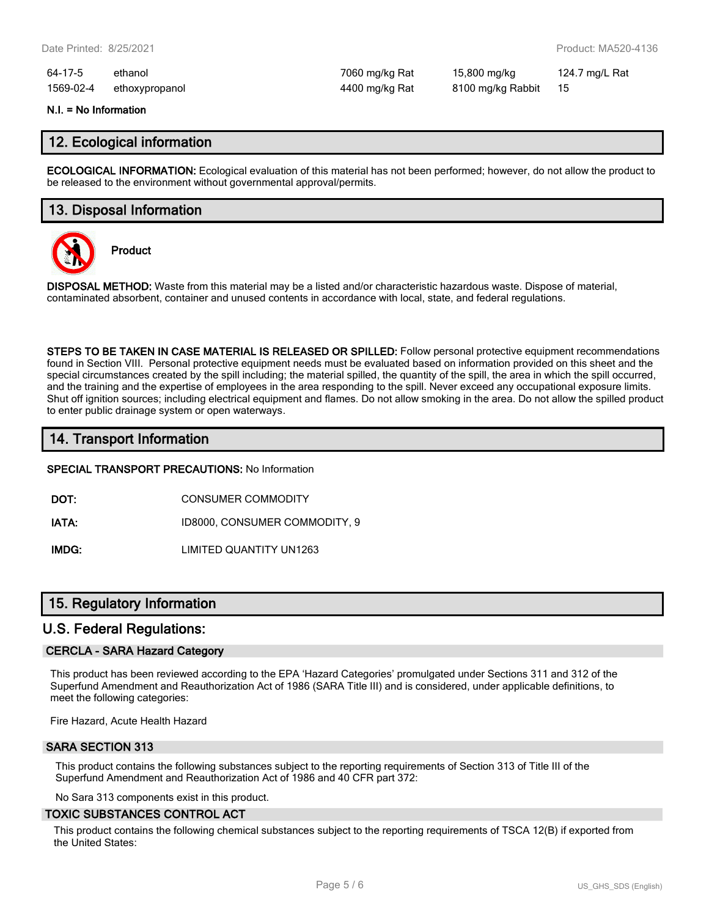64-17-5 ethanol 7060 mg/kg Rat 15,800 mg/kg 124.7 mg/L Rat 1569-02-4 ethoxypropanol 4400 mg/kg Rat 8100 mg/kg Rabbit 15

#### **N.I. = No Information**

### **12. Ecological information**

**ECOLOGICAL INFORMATION:** Ecological evaluation of this material has not been performed; however, do not allow the product to be released to the environment without governmental approval/permits.

## **13. Disposal Information**



**Product**

**DISPOSAL METHOD:** Waste from this material may be a listed and/or characteristic hazardous waste. Dispose of material, contaminated absorbent, container and unused contents in accordance with local, state, and federal regulations.

**STEPS TO BE TAKEN IN CASE MATERIAL IS RELEASED OR SPILLED:** Follow personal protective equipment recommendations found in Section VIII. Personal protective equipment needs must be evaluated based on information provided on this sheet and the special circumstances created by the spill including; the material spilled, the quantity of the spill, the area in which the spill occurred, and the training and the expertise of employees in the area responding to the spill. Never exceed any occupational exposure limits. Shut off ignition sources; including electrical equipment and flames. Do not allow smoking in the area. Do not allow the spilled product to enter public drainage system or open waterways.

## **14. Transport Information**

**SPECIAL TRANSPORT PRECAUTIONS:** No Information

**DOT:** CONSUMER COMMODITY

**IATA:** ID8000, CONSUMER COMMODITY, 9

**IMDG:** LIMITED QUANTITY UN1263

## **15. Regulatory Information**

## **U.S. Federal Regulations:**

#### **CERCLA - SARA Hazard Category**

This product has been reviewed according to the EPA 'Hazard Categories' promulgated under Sections 311 and 312 of the Superfund Amendment and Reauthorization Act of 1986 (SARA Title III) and is considered, under applicable definitions, to meet the following categories:

Fire Hazard, Acute Health Hazard

#### **SARA SECTION 313**

This product contains the following substances subject to the reporting requirements of Section 313 of Title III of the Superfund Amendment and Reauthorization Act of 1986 and 40 CFR part 372:

No Sara 313 components exist in this product.

#### **TOXIC SUBSTANCES CONTROL ACT**

This product contains the following chemical substances subject to the reporting requirements of TSCA 12(B) if exported from the United States: